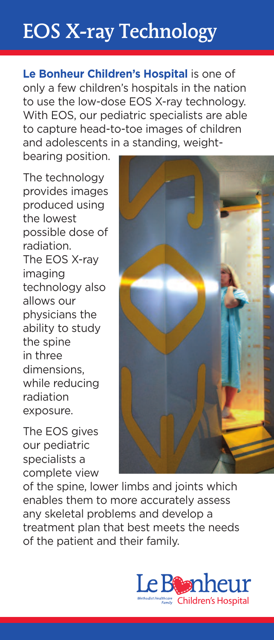## EOS X-ray Technology

**Le Bonheur Children's Hospital** is one of only a few children's hospitals in the nation to use the low-dose EOS X-ray technology. With EOS, our pediatric specialists are able to capture head-to-toe images of children and adolescents in a standing, weight-

bearing position.

The technology provides images produced using the lowest possible dose of radiation. The EOS X-ray imaging technology also allows our physicians the ability to study the spine in three dimensions, while reducing radiation exposure.

The EOS gives our pediatric specialists a complete view



of the spine, lower limbs and joints which enables them to more accurately assess any skeletal problems and develop a treatment plan that best meets the needs of the patient and their family.